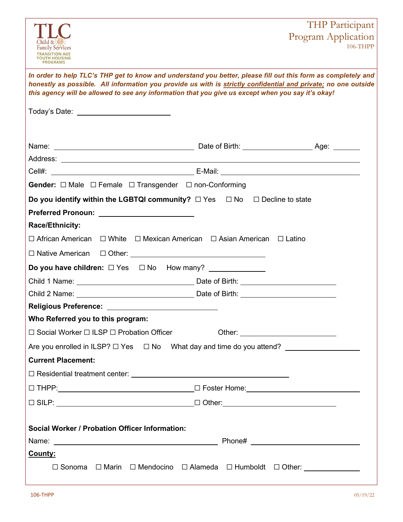|                                                                                                                                                                                                                                                                                                                                       | THP Participant                 |
|---------------------------------------------------------------------------------------------------------------------------------------------------------------------------------------------------------------------------------------------------------------------------------------------------------------------------------------|---------------------------------|
| <b>Family Services</b><br><b>TRANSITION AGE</b><br>YOUTH HOUSING<br><b>PROGRAMS</b>                                                                                                                                                                                                                                                   | Program Application<br>106-THPP |
| In order to help TLC's THP get to know and understand you better, please fill out this form as completely and<br>honestly as possible. All information you provide us with is strictly confidential and private; no one outside<br>this agency will be allowed to see any information that you give us except when you say it's okay! |                                 |
| Today's Date: ___________________________                                                                                                                                                                                                                                                                                             |                                 |
|                                                                                                                                                                                                                                                                                                                                       |                                 |
|                                                                                                                                                                                                                                                                                                                                       |                                 |
|                                                                                                                                                                                                                                                                                                                                       |                                 |
| Gender: □ Male □ Female □ Transgender □ non-Conforming                                                                                                                                                                                                                                                                                |                                 |
| Do you identify within the LGBTQI community? $\Box$ Yes $\Box$ No $\Box$ Decline to state                                                                                                                                                                                                                                             |                                 |
| Preferred Pronoun: <u>___________________</u>                                                                                                                                                                                                                                                                                         |                                 |
| Race/Ethnicity:                                                                                                                                                                                                                                                                                                                       |                                 |
| $\Box$ African American $\Box$ White $\Box$ Mexican American $\Box$ Asian American $\Box$ Latino                                                                                                                                                                                                                                      |                                 |
|                                                                                                                                                                                                                                                                                                                                       |                                 |
|                                                                                                                                                                                                                                                                                                                                       |                                 |
|                                                                                                                                                                                                                                                                                                                                       |                                 |
|                                                                                                                                                                                                                                                                                                                                       |                                 |
| Religious Preference: ______________________________                                                                                                                                                                                                                                                                                  |                                 |
| Who Referred you to this program:                                                                                                                                                                                                                                                                                                     |                                 |
| $\Box$ Social Worker $\Box$ ILSP $\Box$ Probation Officer                                                                                                                                                                                                                                                                             |                                 |
| Are you enrolled in ILSP? □ Yes □ No What day and time do you attend? _________________                                                                                                                                                                                                                                               |                                 |
| <b>Current Placement:</b>                                                                                                                                                                                                                                                                                                             |                                 |
|                                                                                                                                                                                                                                                                                                                                       |                                 |
|                                                                                                                                                                                                                                                                                                                                       |                                 |
|                                                                                                                                                                                                                                                                                                                                       |                                 |
|                                                                                                                                                                                                                                                                                                                                       |                                 |
| <b>Social Worker / Probation Officer Information:</b>                                                                                                                                                                                                                                                                                 |                                 |
|                                                                                                                                                                                                                                                                                                                                       |                                 |
| County:                                                                                                                                                                                                                                                                                                                               |                                 |
| □ Sonoma □ Marin □ Mendocino □ Alameda □ Humboldt □ Other: _____________                                                                                                                                                                                                                                                              |                                 |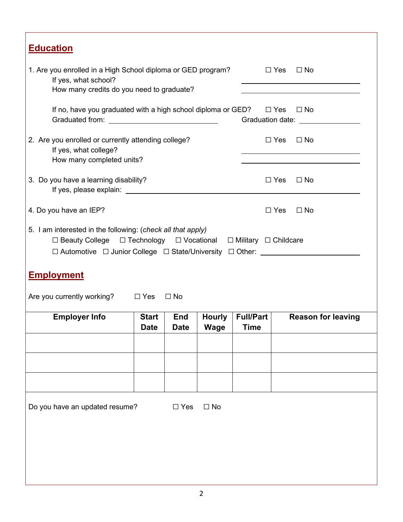| <b>Education</b>                                                                                                                                                                                                                                                                                            |                             |                           |                              |                                 |            |                                                        |
|-------------------------------------------------------------------------------------------------------------------------------------------------------------------------------------------------------------------------------------------------------------------------------------------------------------|-----------------------------|---------------------------|------------------------------|---------------------------------|------------|--------------------------------------------------------|
| 1. Are you enrolled in a High School diploma or GED program?<br>If yes, what school?<br>How many credits do you need to graduate?                                                                                                                                                                           |                             |                           |                              |                                 |            | $\square$ Yes $\square$ No                             |
| If no, have you graduated with a high school diploma or GED? $\square$ Yes                                                                                                                                                                                                                                  |                             |                           |                              |                                 |            | $\Box$ No<br>Graduation date: University of Contractor |
| 2. Are you enrolled or currently attending college?<br>If yes, what college?<br>How many completed units?                                                                                                                                                                                                   |                             |                           |                              |                                 | $\Box$ Yes | $\Box$ No                                              |
| 3. Do you have a learning disability?                                                                                                                                                                                                                                                                       |                             |                           |                              |                                 | $\Box$ Yes | $\Box$ No                                              |
| 4. Do you have an IEP?                                                                                                                                                                                                                                                                                      |                             |                           |                              |                                 | $\Box$ Yes | $\Box$ No                                              |
| 5. I am interested in the following: (check all that apply)<br>$\Box$ Beauty College $\Box$ Technology $\Box$ Vocational $\Box$ Military $\Box$ Childcare<br>$\Box$ Automotive $\Box$ Junior College $\Box$ State/University $\Box$ Other:<br><b>Employment</b><br>Are you currently working? $\square$ Yes |                             | $\Box$ No                 |                              |                                 |            |                                                        |
| <b>Employer Info</b>                                                                                                                                                                                                                                                                                        | <b>Start</b><br><b>Date</b> | <b>End</b><br><b>Date</b> | <b>Hourly</b><br><b>Wage</b> | <b>Full/Part</b><br><b>Time</b> |            | <b>Reason for leaving</b>                              |
|                                                                                                                                                                                                                                                                                                             |                             |                           |                              |                                 |            |                                                        |
|                                                                                                                                                                                                                                                                                                             |                             |                           |                              |                                 |            |                                                        |
|                                                                                                                                                                                                                                                                                                             |                             |                           |                              |                                 |            |                                                        |
| Do you have an updated resume?                                                                                                                                                                                                                                                                              |                             | $\Box$ Yes                | $\square$ No                 |                                 |            |                                                        |
|                                                                                                                                                                                                                                                                                                             |                             |                           |                              |                                 |            |                                                        |
|                                                                                                                                                                                                                                                                                                             |                             |                           |                              |                                 |            |                                                        |

Г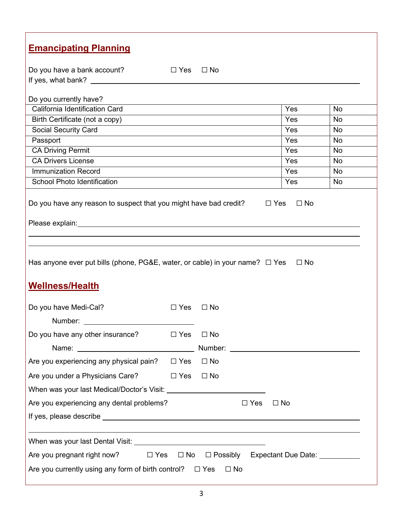| <b>Emancipating Planning</b>                                                                                |                                                      |
|-------------------------------------------------------------------------------------------------------------|------------------------------------------------------|
| Do you have a bank account?<br>D Yes □ No                                                                   |                                                      |
|                                                                                                             |                                                      |
|                                                                                                             |                                                      |
| Do you currently have?<br>California Identification Card                                                    | Yes                                                  |
| Birth Certificate (not a copy)                                                                              | <b>No</b><br>Yes<br>No                               |
| Social Security Card                                                                                        | Yes<br><b>No</b>                                     |
| Passport                                                                                                    | Yes<br><b>No</b>                                     |
| <b>CA Driving Permit</b>                                                                                    | Yes<br><b>No</b>                                     |
| <b>CA Drivers License</b>                                                                                   | Yes<br>No                                            |
| <b>Immunization Record</b>                                                                                  | Yes<br><b>No</b>                                     |
| <b>School Photo Identification</b>                                                                          | Yes<br>No                                            |
| Has anyone ever put bills (phone, PG&E, water, or cable) in your name? $\Box$ Yes<br><b>Wellness/Health</b> | $\Box$ No                                            |
| Do you have Medi-Cal?<br>$\Box$ Yes<br>$\Box$ No                                                            |                                                      |
| Number:                                                                                                     |                                                      |
| Do you have any other insurance?<br>$\Box$ Yes<br>$\Box$ No                                                 |                                                      |
| Name: Name:                                                                                                 | Number: <u>www.community.community.community.com</u> |
| Are you experiencing any physical pain?<br>$\square$ No<br>$\Box$ Yes                                       |                                                      |
| Are you under a Physicians Care?<br>$\Box$ Yes<br>$\square$ No                                              |                                                      |
|                                                                                                             |                                                      |
|                                                                                                             |                                                      |
| Are you experiencing any dental problems?                                                                   | $\Box$ Yes<br>$\Box$ No                              |
|                                                                                                             |                                                      |
|                                                                                                             |                                                      |
| Are you pregnant right now?<br>$\square$ Yes                                                                | □ No □ Possibly Expectant Due Date: _________        |
|                                                                                                             |                                                      |
| Are you currently using any form of birth control? $\Box$ Yes                                               | $\Box$ No                                            |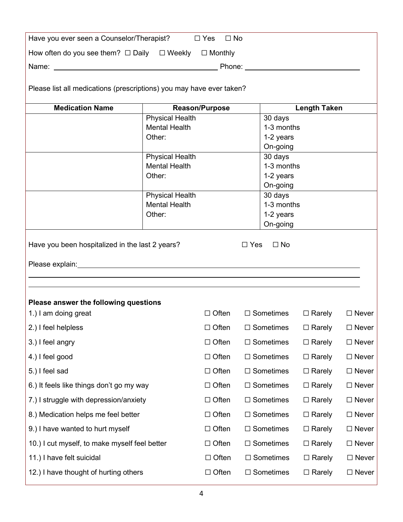| Have you ever seen a Counselor/Therapist?                            |                                                | $\Box$ Yes<br>$\Box$ No |            |                       |                     |              |
|----------------------------------------------------------------------|------------------------------------------------|-------------------------|------------|-----------------------|---------------------|--------------|
| How often do you see them? $\Box$ Daily $\Box$ Weekly                |                                                | $\Box$ Monthly          |            |                       |                     |              |
| Phone: _________________________                                     |                                                |                         |            |                       |                     |              |
|                                                                      |                                                |                         |            |                       |                     |              |
| Please list all medications (prescriptions) you may have ever taken? |                                                |                         |            |                       |                     |              |
| <b>Medication Name</b>                                               |                                                | <b>Reason/Purpose</b>   |            |                       | <b>Length Taken</b> |              |
|                                                                      | <b>Physical Health</b>                         |                         |            | 30 days               |                     |              |
|                                                                      | <b>Mental Health</b>                           |                         |            | 1-3 months            |                     |              |
|                                                                      | Other:                                         |                         |            | 1-2 years<br>On-going |                     |              |
|                                                                      | <b>Physical Health</b>                         |                         |            | 30 days               |                     |              |
|                                                                      | <b>Mental Health</b>                           |                         |            | 1-3 months            |                     |              |
|                                                                      | Other:                                         |                         |            | 1-2 years             |                     |              |
|                                                                      |                                                |                         |            | On-going              |                     |              |
|                                                                      | <b>Physical Health</b><br><b>Mental Health</b> |                         |            | 30 days<br>1-3 months |                     |              |
|                                                                      | Other:                                         |                         |            | 1-2 years             |                     |              |
|                                                                      |                                                |                         |            | On-going              |                     |              |
| Have you been hospitalized in the last 2 years?                      |                                                |                         | $\Box$ Yes | $\Box$ No             |                     |              |
| Please answer the following questions                                |                                                |                         |            |                       |                     |              |
| 1.) I am doing great                                                 |                                                | $\Box$ Often            |            | $\Box$ Sometimes      | $\Box$ Rarely       | $\Box$ Never |
| 2.) I feel helpless                                                  |                                                | $\Box$ Often            |            | $\Box$ Sometimes      | $\Box$ Rarely       | $\Box$ Never |
| 3.) I feel angry                                                     |                                                | $\Box$ Often            |            | $\Box$ Sometimes      | $\Box$ Rarely       | $\Box$ Never |
| 4.) I feel good                                                      |                                                | $\Box$ Often            |            | $\Box$ Sometimes      | $\Box$ Rarely       | $\Box$ Never |
| 5.) I feel sad                                                       |                                                | $\Box$ Often            |            | $\Box$ Sometimes      | $\Box$ Rarely       | $\Box$ Never |
| 6.) It feels like things don't go my way                             |                                                | $\Box$ Often            |            | $\Box$ Sometimes      | $\Box$ Rarely       | $\Box$ Never |
| 7.) I struggle with depression/anxiety                               |                                                | $\Box$ Often            |            | $\Box$ Sometimes      | $\Box$ Rarely       | $\Box$ Never |
| 8.) Medication helps me feel better                                  |                                                | $\Box$ Often            |            | $\Box$ Sometimes      | $\Box$ Rarely       | $\Box$ Never |
| 9.) I have wanted to hurt myself                                     |                                                | $\Box$ Often            |            | $\Box$ Sometimes      | $\Box$ Rarely       | $\Box$ Never |
| 10.) I cut myself, to make myself feel better                        |                                                | $\Box$ Often            |            | $\Box$ Sometimes      | $\Box$ Rarely       | $\Box$ Never |
| 11.) I have felt suicidal                                            |                                                | $\Box$ Often            |            | $\Box$ Sometimes      | $\Box$ Rarely       | $\Box$ Never |
| 12.) I have thought of hurting others                                |                                                | $\Box$ Often            |            | $\Box$ Sometimes      | $\Box$ Rarely       | $\Box$ Never |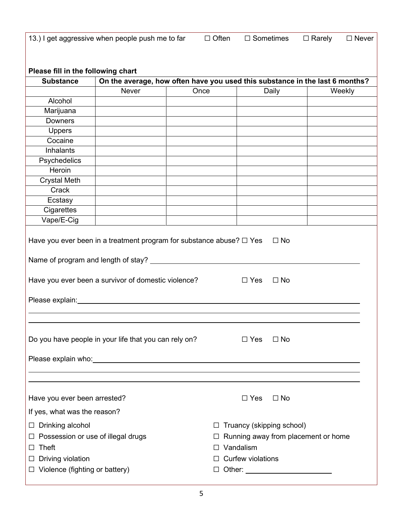|                                              | 13.) I get aggressive when people push me to far                                                                                                                                                                               |      | $\Box$ Often      | $\Box$ Sometimes                | $\Box$ Rarely<br>$\square$ Never    |
|----------------------------------------------|--------------------------------------------------------------------------------------------------------------------------------------------------------------------------------------------------------------------------------|------|-------------------|---------------------------------|-------------------------------------|
|                                              |                                                                                                                                                                                                                                |      |                   |                                 |                                     |
| Please fill in the following chart           |                                                                                                                                                                                                                                |      |                   |                                 |                                     |
| <b>Substance</b>                             | On the average, how often have you used this substance in the last 6 months?                                                                                                                                                   |      |                   |                                 |                                     |
|                                              | <b>Never</b>                                                                                                                                                                                                                   | Once |                   | Daily                           | Weekly                              |
| Alcohol                                      |                                                                                                                                                                                                                                |      |                   |                                 |                                     |
| Marijuana                                    |                                                                                                                                                                                                                                |      |                   |                                 |                                     |
| <b>Downers</b>                               |                                                                                                                                                                                                                                |      |                   |                                 |                                     |
| <b>Uppers</b>                                |                                                                                                                                                                                                                                |      |                   |                                 |                                     |
| Cocaine                                      |                                                                                                                                                                                                                                |      |                   |                                 |                                     |
| Inhalants                                    |                                                                                                                                                                                                                                |      |                   |                                 |                                     |
| Psychedelics                                 |                                                                                                                                                                                                                                |      |                   |                                 |                                     |
| Heroin                                       |                                                                                                                                                                                                                                |      |                   |                                 |                                     |
| <b>Crystal Meth</b>                          |                                                                                                                                                                                                                                |      |                   |                                 |                                     |
| Crack                                        |                                                                                                                                                                                                                                |      |                   |                                 |                                     |
| Ecstasy                                      |                                                                                                                                                                                                                                |      |                   |                                 |                                     |
| Cigarettes                                   |                                                                                                                                                                                                                                |      |                   |                                 |                                     |
| Vape/E-Cig                                   |                                                                                                                                                                                                                                |      |                   |                                 |                                     |
|                                              | Have you ever been in a treatment program for substance abuse? $\Box$ Yes                                                                                                                                                      |      |                   | $\Box$ No                       |                                     |
|                                              | Name of program and length of stay? __________                                                                                                                                                                                 |      |                   |                                 |                                     |
|                                              | Have you ever been a survivor of domestic violence?                                                                                                                                                                            |      | $\Box$ Yes        | $\Box$ No                       |                                     |
|                                              | Please explain: Notified a material control of the set of the set of the set of the set of the set of the set of the set of the set of the set of the set of the set of the set of the set of the set of the set of the set of |      |                   |                                 |                                     |
|                                              |                                                                                                                                                                                                                                |      |                   |                                 |                                     |
|                                              | Do you have people in your life that you can rely on?                                                                                                                                                                          |      | $\Box$ Yes        | $\Box$ No                       |                                     |
|                                              | Please explain who: vertextually approximately approximately approximately approximately approximately                                                                                                                         |      |                   |                                 |                                     |
|                                              |                                                                                                                                                                                                                                |      |                   |                                 |                                     |
| Have you ever been arrested?                 |                                                                                                                                                                                                                                |      | $\Box$ Yes        | $\Box$ No                       |                                     |
| If yes, what was the reason?                 |                                                                                                                                                                                                                                |      |                   |                                 |                                     |
| Drinking alcohol<br>$\Box$                   |                                                                                                                                                                                                                                |      | ⊔                 | Truancy (skipping school)       |                                     |
| Possession or use of illegal drugs<br>$\Box$ |                                                                                                                                                                                                                                |      |                   |                                 | Running away from placement or home |
| Theft                                        |                                                                                                                                                                                                                                |      | Vandalism         |                                 |                                     |
| $\Box$                                       |                                                                                                                                                                                                                                |      |                   |                                 |                                     |
| Driving violation<br>ப                       |                                                                                                                                                                                                                                |      | Curfew violations |                                 |                                     |
| $\Box$ Violence (fighting or battery)        |                                                                                                                                                                                                                                |      | ப                 | Other: ________________________ |                                     |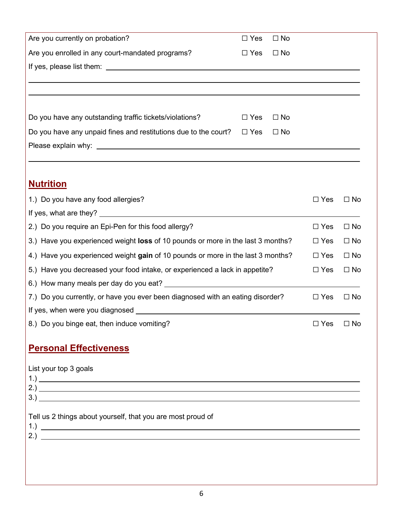| Are you currently on probation?                                                 | $\Box$ Yes | $\Box$ No |                      |              |
|---------------------------------------------------------------------------------|------------|-----------|----------------------|--------------|
| Are you enrolled in any court-mandated programs?                                | $\Box$ Yes | $\Box$ No |                      |              |
|                                                                                 |            |           |                      |              |
|                                                                                 |            |           |                      |              |
|                                                                                 |            |           |                      |              |
| Do you have any outstanding traffic tickets/violations?                         | $\Box$ Yes | $\Box$ No |                      |              |
| Do you have any unpaid fines and restitutions due to the court?                 | $\Box$ Yes | $\Box$ No |                      |              |
|                                                                                 |            |           |                      |              |
|                                                                                 |            |           |                      |              |
|                                                                                 |            |           |                      |              |
| <u>Nutrition</u>                                                                |            |           |                      |              |
| 1.) Do you have any food allergies?                                             |            |           | $\Box$ Yes           | $\Box$ No    |
|                                                                                 |            |           |                      |              |
| 2.) Do you require an Epi-Pen for this food allergy?                            |            |           | $\Box$ Yes           | $\Box$ No    |
| 3.) Have you experienced weight loss of 10 pounds or more in the last 3 months? |            |           | $\Box$ Yes           | $\Box$ No    |
| 4.) Have you experienced weight gain of 10 pounds or more in the last 3 months? |            |           | $\Box$ Yes           | $\Box$ No    |
| 5.) Have you decreased your food intake, or experienced a lack in appetite?     |            |           | $\Box$ Yes           | $\square$ No |
|                                                                                 |            |           |                      |              |
| 7.) Do you currently, or have you ever been diagnosed with an eating disorder?  |            |           | $\Box$ Yes           | $\square$ No |
|                                                                                 |            |           |                      |              |
| 8.) Do you binge eat, then induce vomiting?                                     |            |           | $\Box$ Yes $\Box$ No |              |
| <b>Personal Effectiveness</b>                                                   |            |           |                      |              |
|                                                                                 |            |           |                      |              |
| List your top 3 goals                                                           |            |           |                      |              |
|                                                                                 |            |           |                      |              |
|                                                                                 |            |           |                      |              |
| Tell us 2 things about yourself, that you are most proud of                     |            |           |                      |              |
|                                                                                 |            |           |                      |              |
|                                                                                 |            |           |                      |              |
|                                                                                 |            |           |                      |              |